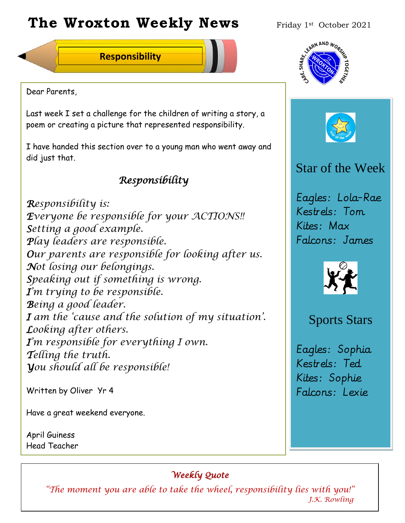# **The Wroxton Weekly News** Friday 1st October 2021

**Responsibility**



Dear Parents,

Last week I set a challenge for the children of writing a story, a poem or creating a picture that represented responsibility.

I have handed this section over to a young man who went away and did just that.

## *Responsibility*

*Responsibility is: Everyone be responsible for your ACTIONS!! Setting a good example. Play leaders are responsible. Our parents are responsible for looking after us. Not losing our belongings. Speaking out if something is wrong. I'm trying to be responsible. Being a good leader. I am the 'cause and the solution of my situation'. Looking after others. I'm responsible for everything I own. Telling the truth. You should all be responsible!*

Written by Oliver Yr 4

Have a great weekend everyone.

April Guiness Head Teacher

### *Weekly Quote*

**Oct 30 Nov 4 Dec 1 Jan 1** *"The moment you are able to take the wheel, responsibility lies with you!"* **New Year** *J.K. Rowling*





## Star of the Week

Eagles: Lola-Rae Kestrels: Tom Kites: Max Falcons: James



## Sports Stars

Eagles: Sophia Kestrels: Ted Kites: Sophie Falcons: Lexie